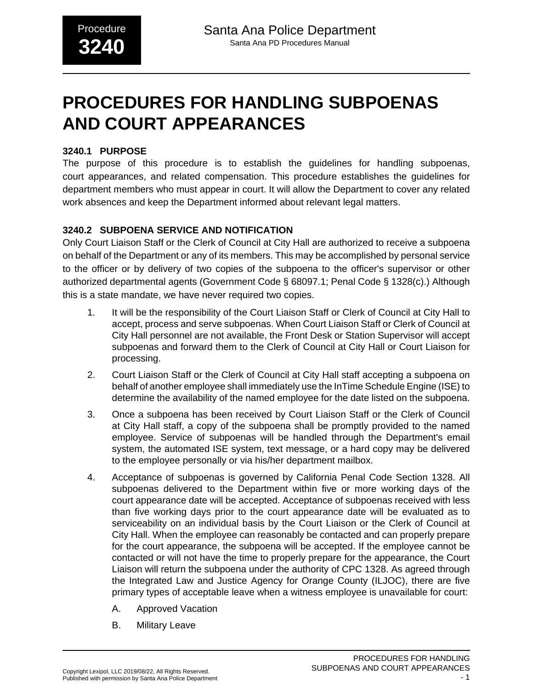# **PROCEDURES FOR HANDLING SUBPOENAS AND COURT APPEARANCES**

## **3240.1 PURPOSE**

The purpose of this procedure is to establish the guidelines for handling subpoenas, court appearances, and related compensation. This procedure establishes the guidelines for department members who must appear in court. It will allow the Department to cover any related work absences and keep the Department informed about relevant legal matters.

## **3240.2 SUBPOENA SERVICE AND NOTIFICATION**

Only Court Liaison Staff or the Clerk of Council at City Hall are authorized to receive a subpoena on behalf of the Department or any of its members. This may be accomplished by personal service to the officer or by delivery of two copies of the subpoena to the officer's supervisor or other authorized departmental agents (Government Code § 68097.1; Penal Code § 1328(c).) Although this is a state mandate, we have never required two copies.

- 1. It will be the responsibility of the Court Liaison Staff or Clerk of Council at City Hall to accept, process and serve subpoenas. When Court Liaison Staff or Clerk of Council at City Hall personnel are not available, the Front Desk or Station Supervisor will accept subpoenas and forward them to the Clerk of Council at City Hall or Court Liaison for processing.
- 2. Court Liaison Staff or the Clerk of Council at City Hall staff accepting a subpoena on behalf of another employee shall immediately use the InTime Schedule Engine (ISE) to determine the availability of the named employee for the date listed on the subpoena.
- 3. Once a subpoena has been received by Court Liaison Staff or the Clerk of Council at City Hall staff, a copy of the subpoena shall be promptly provided to the named employee. Service of subpoenas will be handled through the Department's email system, the automated ISE system, text message, or a hard copy may be delivered to the employee personally or via his/her department mailbox.
- 4. Acceptance of subpoenas is governed by California Penal Code Section 1328. All subpoenas delivered to the Department within five or more working days of the court appearance date will be accepted. Acceptance of subpoenas received with less than five working days prior to the court appearance date will be evaluated as to serviceability on an individual basis by the Court Liaison or the Clerk of Council at City Hall. When the employee can reasonably be contacted and can properly prepare for the court appearance, the subpoena will be accepted. If the employee cannot be contacted or will not have the time to properly prepare for the appearance, the Court Liaison will return the subpoena under the authority of CPC 1328. As agreed through the Integrated Law and Justice Agency for Orange County (ILJOC), there are five primary types of acceptable leave when a witness employee is unavailable for court:
	- A. Approved Vacation
	- B. Military Leave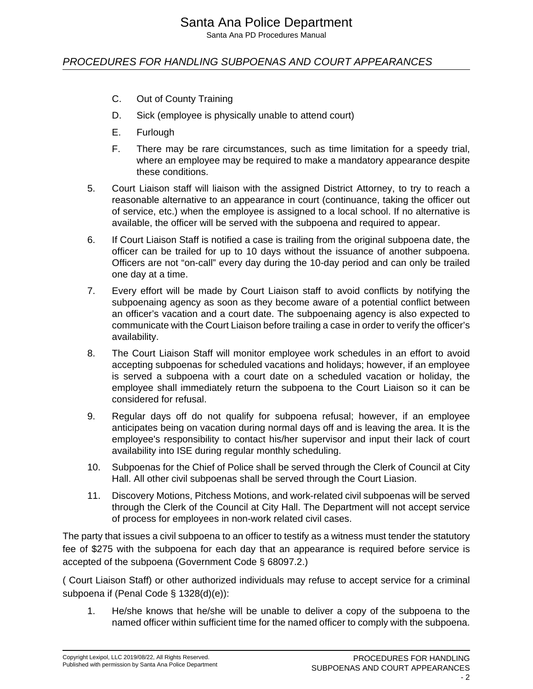# Santa Ana Police Department

Santa Ana PD Procedures Manual

## PROCEDURES FOR HANDLING SUBPOENAS AND COURT APPEARANCES

- C. Out of County Training
- D. Sick (employee is physically unable to attend court)
- E. Furlough
- F. There may be rare circumstances, such as time limitation for a speedy trial, where an employee may be required to make a mandatory appearance despite these conditions.
- 5. Court Liaison staff will liaison with the assigned District Attorney, to try to reach a reasonable alternative to an appearance in court (continuance, taking the officer out of service, etc.) when the employee is assigned to a local school. If no alternative is available, the officer will be served with the subpoena and required to appear.
- 6. If Court Liaison Staff is notified a case is trailing from the original subpoena date, the officer can be trailed for up to 10 days without the issuance of another subpoena. Officers are not "on-call" every day during the 10-day period and can only be trailed one day at a time.
- 7. Every effort will be made by Court Liaison staff to avoid conflicts by notifying the subpoenaing agency as soon as they become aware of a potential conflict between an officer's vacation and a court date. The subpoenaing agency is also expected to communicate with the Court Liaison before trailing a case in order to verify the officer's availability.
- 8. The Court Liaison Staff will monitor employee work schedules in an effort to avoid accepting subpoenas for scheduled vacations and holidays; however, if an employee is served a subpoena with a court date on a scheduled vacation or holiday, the employee shall immediately return the subpoena to the Court Liaison so it can be considered for refusal.
- 9. Regular days off do not qualify for subpoena refusal; however, if an employee anticipates being on vacation during normal days off and is leaving the area. It is the employee's responsibility to contact his/her supervisor and input their lack of court availability into ISE during regular monthly scheduling.
- 10. Subpoenas for the Chief of Police shall be served through the Clerk of Council at City Hall. All other civil subpoenas shall be served through the Court Liasion.
- 11. Discovery Motions, Pitchess Motions, and work-related civil subpoenas will be served through the Clerk of the Council at City Hall. The Department will not accept service of process for employees in non-work related civil cases.

The party that issues a civil subpoena to an officer to testify as a witness must tender the statutory fee of \$275 with the subpoena for each day that an appearance is required before service is accepted of the subpoena (Government Code § 68097.2.)

( Court Liaison Staff) or other authorized individuals may refuse to accept service for a criminal subpoena if (Penal Code § 1328(d)(e)):

1. He/she knows that he/she will be unable to deliver a copy of the subpoena to the named officer within sufficient time for the named officer to comply with the subpoena.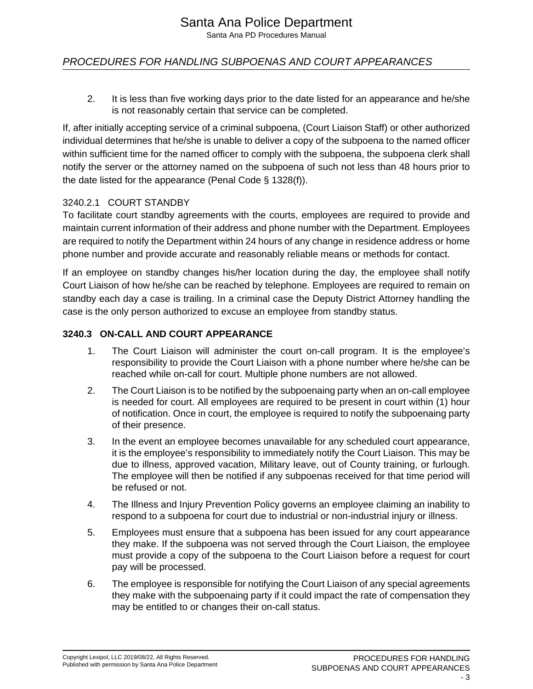Santa Ana PD Procedures Manual

## PROCEDURES FOR HANDLING SUBPOENAS AND COURT APPEARANCES

2. It is less than five working days prior to the date listed for an appearance and he/she is not reasonably certain that service can be completed.

If, after initially accepting service of a criminal subpoena, (Court Liaison Staff) or other authorized individual determines that he/she is unable to deliver a copy of the subpoena to the named officer within sufficient time for the named officer to comply with the subpoena, the subpoena clerk shall notify the server or the attorney named on the subpoena of such not less than 48 hours prior to the date listed for the appearance (Penal Code § 1328(f)).

#### 3240.2.1 COURT STANDBY

To facilitate court standby agreements with the courts, employees are required to provide and maintain current information of their address and phone number with the Department. Employees are required to notify the Department within 24 hours of any change in residence address or home phone number and provide accurate and reasonably reliable means or methods for contact.

If an employee on standby changes his/her location during the day, the employee shall notify Court Liaison of how he/she can be reached by telephone. Employees are required to remain on standby each day a case is trailing. In a criminal case the Deputy District Attorney handling the case is the only person authorized to excuse an employee from standby status.

#### **3240.3 ON-CALL AND COURT APPEARANCE**

- 1. The Court Liaison will administer the court on-call program. It is the employee's responsibility to provide the Court Liaison with a phone number where he/she can be reached while on-call for court. Multiple phone numbers are not allowed.
- 2. The Court Liaison is to be notified by the subpoenaing party when an on-call employee is needed for court. All employees are required to be present in court within (1) hour of notification. Once in court, the employee is required to notify the subpoenaing party of their presence.
- 3. In the event an employee becomes unavailable for any scheduled court appearance, it is the employee's responsibility to immediately notify the Court Liaison. This may be due to illness, approved vacation, Military leave, out of County training, or furlough. The employee will then be notified if any subpoenas received for that time period will be refused or not.
- 4. The Illness and Injury Prevention Policy governs an employee claiming an inability to respond to a subpoena for court due to industrial or non-industrial injury or illness.
- 5. Employees must ensure that a subpoena has been issued for any court appearance they make. If the subpoena was not served through the Court Liaison, the employee must provide a copy of the subpoena to the Court Liaison before a request for court pay will be processed.
- 6. The employee is responsible for notifying the Court Liaison of any special agreements they make with the subpoenaing party if it could impact the rate of compensation they may be entitled to or changes their on-call status.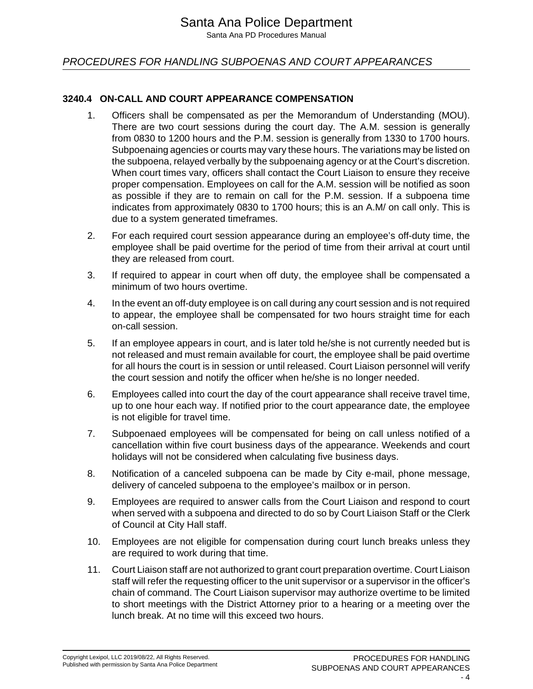Santa Ana PD Procedures Manual

## PROCEDURES FOR HANDLING SUBPOENAS AND COURT APPEARANCES

## **3240.4 ON-CALL AND COURT APPEARANCE COMPENSATION**

- 1. Officers shall be compensated as per the Memorandum of Understanding (MOU). There are two court sessions during the court day. The A.M. session is generally from 0830 to 1200 hours and the P.M. session is generally from 1330 to 1700 hours. Subpoenaing agencies or courts may vary these hours. The variations may be listed on the subpoena, relayed verbally by the subpoenaing agency or at the Court's discretion. When court times vary, officers shall contact the Court Liaison to ensure they receive proper compensation. Employees on call for the A.M. session will be notified as soon as possible if they are to remain on call for the P.M. session. If a subpoena time indicates from approximately 0830 to 1700 hours; this is an A.M/ on call only. This is due to a system generated timeframes.
- 2. For each required court session appearance during an employee's off-duty time, the employee shall be paid overtime for the period of time from their arrival at court until they are released from court.
- 3. If required to appear in court when off duty, the employee shall be compensated a minimum of two hours overtime.
- 4. In the event an off-duty employee is on call during any court session and is not required to appear, the employee shall be compensated for two hours straight time for each on-call session.
- 5. If an employee appears in court, and is later told he/she is not currently needed but is not released and must remain available for court, the employee shall be paid overtime for all hours the court is in session or until released. Court Liaison personnel will verify the court session and notify the officer when he/she is no longer needed.
- 6. Employees called into court the day of the court appearance shall receive travel time, up to one hour each way. If notified prior to the court appearance date, the employee is not eligible for travel time.
- 7. Subpoenaed employees will be compensated for being on call unless notified of a cancellation within five court business days of the appearance. Weekends and court holidays will not be considered when calculating five business days.
- 8. Notification of a canceled subpoena can be made by City e-mail, phone message, delivery of canceled subpoena to the employee's mailbox or in person.
- 9. Employees are required to answer calls from the Court Liaison and respond to court when served with a subpoena and directed to do so by Court Liaison Staff or the Clerk of Council at City Hall staff.
- 10. Employees are not eligible for compensation during court lunch breaks unless they are required to work during that time.
- 11. Court Liaison staff are not authorized to grant court preparation overtime. Court Liaison staff will refer the requesting officer to the unit supervisor or a supervisor in the officer's chain of command. The Court Liaison supervisor may authorize overtime to be limited to short meetings with the District Attorney prior to a hearing or a meeting over the lunch break. At no time will this exceed two hours.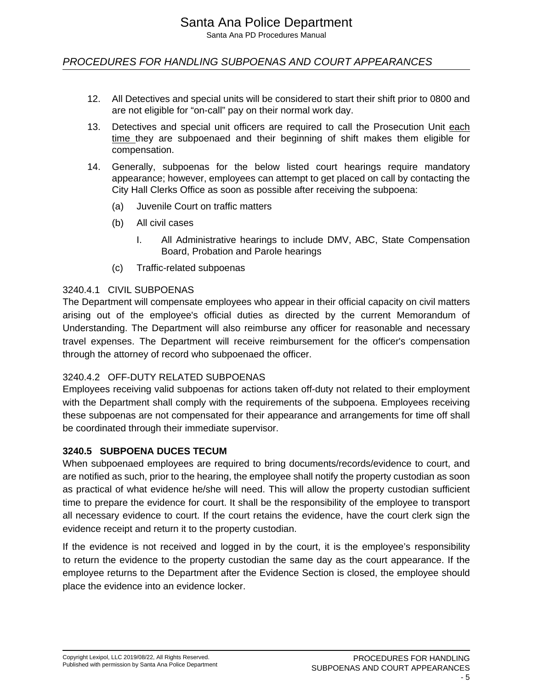## PROCEDURES FOR HANDLING SUBPOENAS AND COURT APPEARANCES

- 12. All Detectives and special units will be considered to start their shift prior to 0800 and are not eligible for "on-call" pay on their normal work day.
- 13. Detectives and special unit officers are required to call the Prosecution Unit each time they are subpoenaed and their beginning of shift makes them eligible for compensation.
- 14. Generally, subpoenas for the below listed court hearings require mandatory appearance; however, employees can attempt to get placed on call by contacting the City Hall Clerks Office as soon as possible after receiving the subpoena:
	- (a) Juvenile Court on traffic matters
	- (b) All civil cases
		- I. All Administrative hearings to include DMV, ABC, State Compensation Board, Probation and Parole hearings
	- (c) Traffic-related subpoenas

#### 3240.4.1 CIVIL SUBPOENAS

The Department will compensate employees who appear in their official capacity on civil matters arising out of the employee's official duties as directed by the current Memorandum of Understanding. The Department will also reimburse any officer for reasonable and necessary travel expenses. The Department will receive reimbursement for the officer's compensation through the attorney of record who subpoenaed the officer.

## 3240.4.2 OFF-DUTY RELATED SUBPOENAS

Employees receiving valid subpoenas for actions taken off-duty not related to their employment with the Department shall comply with the requirements of the subpoena. Employees receiving these subpoenas are not compensated for their appearance and arrangements for time off shall be coordinated through their immediate supervisor.

#### **3240.5 SUBPOENA DUCES TECUM**

When subpoenaed employees are required to bring documents/records/evidence to court, and are notified as such, prior to the hearing, the employee shall notify the property custodian as soon as practical of what evidence he/she will need. This will allow the property custodian sufficient time to prepare the evidence for court. It shall be the responsibility of the employee to transport all necessary evidence to court. If the court retains the evidence, have the court clerk sign the evidence receipt and return it to the property custodian.

If the evidence is not received and logged in by the court, it is the employee's responsibility to return the evidence to the property custodian the same day as the court appearance. If the employee returns to the Department after the Evidence Section is closed, the employee should place the evidence into an evidence locker.